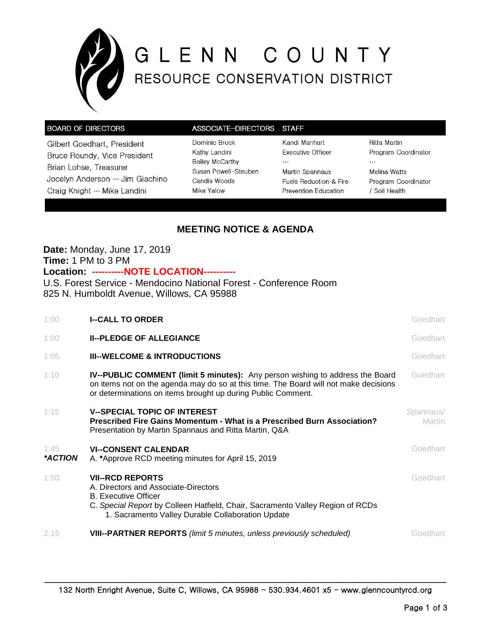

# G L E N N C O U N T Y<br>RESOURCE CONSERVATION DISTRICT

### **BOARD OF DIRECTORS**

Gilbert Goedhart, President Bruce Roundy, Vice President Brian Lohse, Treasurer Jocelyn Anderson … Jim Giachino Craig Knight … Mike Landini

| ASSOCIATE-DIRECTORS    |
|------------------------|
| Dominic Brock          |
| Kathy Landini          |
| <b>Bailey McCarthy</b> |
| Susan Powell-Steuben   |
| Candis Woods           |
| <b>Mike Yalow</b>      |

Kandi Manhart **Executive Officer**  $\ddotsc$ **Martin Spannaus** Fuels Reduction & Fire **Prevention Education** 

**STAFF** 

**Ritta Martin** Program Coordinator  $\cdots$ **Melina Watts** Program Coordinator / Soil Health

# **MEETING NOTICE & AGENDA**

# **Date:** Monday, June 17, 2019 **Time:** 1 PM to 3 PM

**Location: ----------NOTE LOCATION----------**

U.S. Forest Service - Mendocino National Forest - Conference Room 825 N. Humboldt Avenue, Willows, CA 95988

| 1:00            | <b>I--CALL TO ORDER</b>                                                                                                                                                                                                               | Goedhart            |
|-----------------|---------------------------------------------------------------------------------------------------------------------------------------------------------------------------------------------------------------------------------------|---------------------|
| 1:00            | <b>II--PLEDGE OF ALLEGIANCE</b>                                                                                                                                                                                                       | Goedhart            |
| 1:05            | <b>III--WELCOME &amp; INTRODUCTIONS</b>                                                                                                                                                                                               | Goedhart            |
| 1:10            | IV--PUBLIC COMMENT (limit 5 minutes): Any person wishing to address the Board<br>on items not on the agenda may do so at this time. The Board will not make decisions<br>or determinations on items brought up during Public Comment. | Goedhart            |
| 1:15            | <b>V--SPECIAL TOPIC OF INTEREST</b><br>Prescribed Fire Gains Momentum - What is a Prescribed Burn Association?<br>Presentation by Martin Spannaus and Ritta Martin, Q&A                                                               | Spannaus/<br>Martin |
| 1:45<br>*ACTION | <b>VI--CONSENT CALENDAR</b><br>A. *Approve RCD meeting minutes for April 15, 2019                                                                                                                                                     | Goedhart            |
| 1:50            | <b>VII--RCD REPORTS</b><br>A. Directors and Associate-Directors<br><b>B.</b> Executive Officer<br>C. Special Report by Colleen Hatfield, Chair, Sacramento Valley Region of RCDs<br>1. Sacramento Valley Durable Collaboration Update | Goedhart            |
| 2:15            | <b>VIII--PARTNER REPORTS</b> (limit 5 minutes, unless previously scheduled)                                                                                                                                                           | Goedhart            |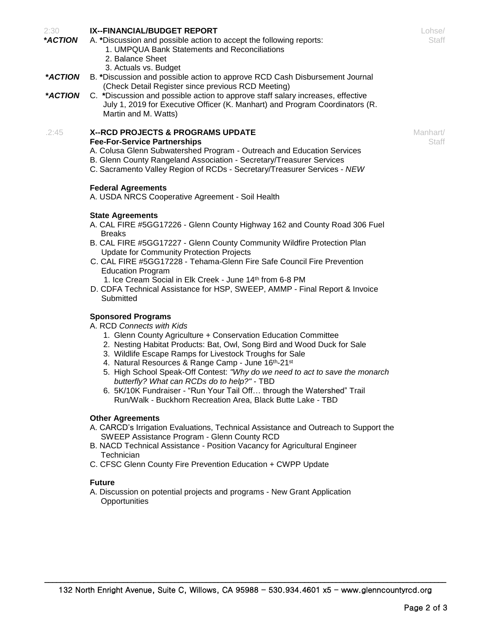## **IX--FINANCIAL/BUDGET REPORT**

2:30

- **\****ACTION* A. **\***Discussion and possible action to accept the following reports:
	- 1. UMPQUA Bank Statements and Reconciliations
	- 2. Balance Sheet
	- 3. Actuals vs. Budget
- **\****ACTION* B. **\***Discussion and possible action to approve RCD Cash Disbursement Journal (Check Detail Register since previous RCD Meeting)
- **\****ACTION* C. **\***Discussion and possible action to approve staff salary increases, effective July 1, 2019 for Executive Officer (K. Manhart) and Program Coordinators (R. Martin and M. Watts)

#### .2:45 **X--RCD PROJECTS & PROGRAMS UPDATE Fee-For-Service Partnerships**

- A. Colusa Glenn Subwatershed Program Outreach and Education Services
- B. Glenn County Rangeland Association Secretary/Treasurer Services
- C. Sacramento Valley Region of RCDs Secretary/Treasurer Services *NEW*

## **Federal Agreements**

A. USDA NRCS Cooperative Agreement - Soil Health

#### **State Agreements**

- A. CAL FIRE #5GG17226 Glenn County Highway 162 and County Road 306 Fuel Breaks
- B. CAL FIRE #5GG17227 Glenn County Community Wildfire Protection Plan Update for Community Protection Projects
- C. CAL FIRE #5GG17228 Tehama-Glenn Fire Safe Council Fire Prevention Education Program
- 1. Ice Cream Social in Elk Creek June 14<sup>th</sup> from 6-8 PM
- D. CDFA Technical Assistance for HSP, SWEEP, AMMP Final Report & Invoice **Submitted**

## **Sponsored Programs**

- A. RCD *Connects with Kids*
	- 1. Glenn County Agriculture + Conservation Education Committee
	- 2. Nesting Habitat Products: Bat, Owl, Song Bird and Wood Duck for Sale
	- 3. Wildlife Escape Ramps for Livestock Troughs for Sale
	- 4. Natural Resources & Range Camp June 16th-21st
	- 5. High School Speak-Off Contest: *"Why do we need to act to save the monarch butterfly? What can RCDs do to help?"* - TBD
	- 6. 5K/10K Fundraiser "Run Your Tail Off… through the Watershed" Trail Run/Walk - Buckhorn Recreation Area, Black Butte Lake - TBD

#### **Other Agreements**

- A. CARCD's Irrigation Evaluations, Technical Assistance and Outreach to Support the SWEEP Assistance Program - Glenn County RCD
- B. NACD Technical Assistance Position Vacancy for Agricultural Engineer Technician
- C. CFSC Glenn County Fire Prevention Education + CWPP Update

#### **Future**

A. Discussion on potential projects and programs - New Grant Application **Opportunities** 

Lohse/ **Staff** 

Manhart/ **Staff**